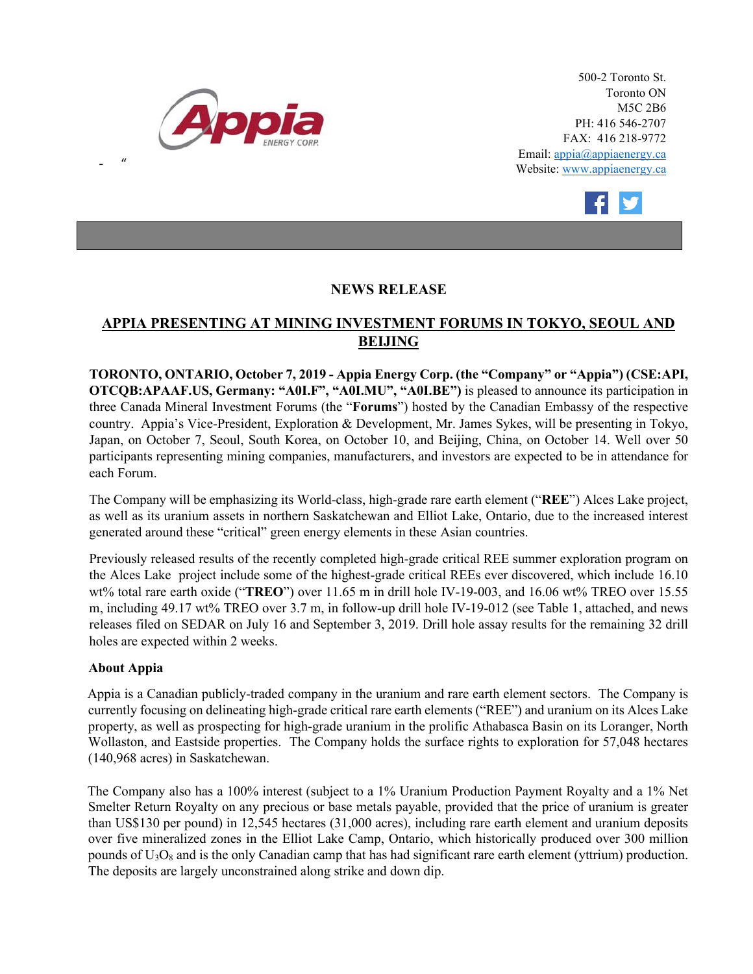

500-2 Toronto St. Toronto ON M5C 2B6 PH: 416 546-2707 FAX: 416 218-9772 Email: appia@appiaenergy.ca Website: www.appiaenergy.ca



## **NEWS RELEASE**

## **APPIA PRESENTING AT MINING INVESTMENT FORUMS IN TOKYO, SEOUL AND BEIJING**

**TORONTO, ONTARIO, October 7, 2019 - Appia Energy Corp. (the "Company" or "Appia") (CSE:API, OTCQB:APAAF.US, Germany: "A0I.F", "A0I.MU", "A0I.BE")** is pleased to announce its participation in three Canada Mineral Investment Forums (the "**Forums**") hosted by the Canadian Embassy of the respective country. Appia's Vice-President, Exploration & Development, Mr. James Sykes, will be presenting in Tokyo, Japan, on October 7, Seoul, South Korea, on October 10, and Beijing, China, on October 14. Well over 50 participants representing mining companies, manufacturers, and investors are expected to be in attendance for each Forum.

The Company will be emphasizing its World-class, high-grade rare earth element ("**REE**") Alces Lake project, as well as its uranium assets in northern Saskatchewan and Elliot Lake, Ontario, due to the increased interest generated around these "critical" green energy elements in these Asian countries.

Previously released results of the recently completed high-grade critical REE summer exploration program on the Alces Lake project include some of the highest-grade critical REEs ever discovered, which include 16.10 wt% total rare earth oxide ("**TREO**") over 11.65 m in drill hole IV-19-003, and 16.06 wt% TREO over 15.55 m, including 49.17 wt% TREO over 3.7 m, in follow-up drill hole IV-19-012 (see Table 1, attached, and news releases filed on SEDAR on July 16 and September 3, 2019. Drill hole assay results for the remaining 32 drill holes are expected within 2 weeks.

## **About Appia**

- "

Appia is a Canadian publicly-traded company in the uranium and rare earth element sectors. The Company is currently focusing on delineating high-grade critical rare earth elements ("REE") and uranium on its Alces Lake property, as well as prospecting for high-grade uranium in the prolific Athabasca Basin on its Loranger, North Wollaston, and Eastside properties. The Company holds the surface rights to exploration for 57,048 hectares (140,968 acres) in Saskatchewan.

The Company also has a 100% interest (subject to a 1% Uranium Production Payment Royalty and a 1% Net Smelter Return Royalty on any precious or base metals payable, provided that the price of uranium is greater than US\$130 per pound) in 12,545 hectares (31,000 acres), including rare earth element and uranium deposits over five mineralized zones in the Elliot Lake Camp, Ontario, which historically produced over 300 million pounds of  $U_3O_8$  and is the only Canadian camp that has had significant rare earth element (yttrium) production. The deposits are largely unconstrained along strike and down dip.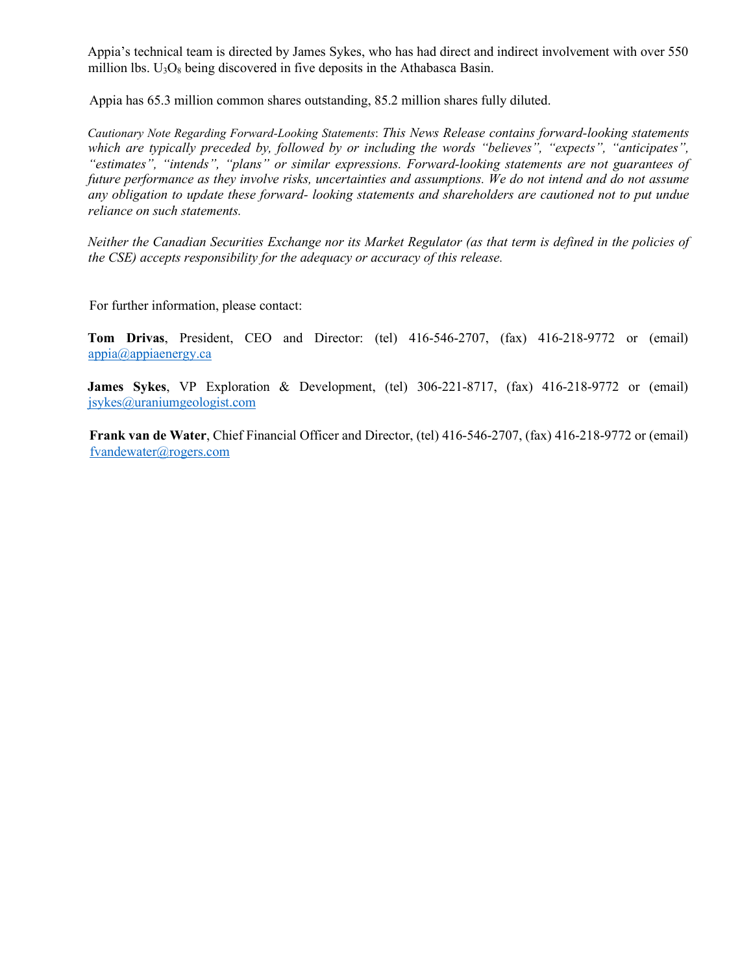Appia's technical team is directed by James Sykes, who has had direct and indirect involvement with over 550 million lbs.  $U_3O_8$  being discovered in five deposits in the Athabasca Basin.

Appia has 65.3 million common shares outstanding, 85.2 million shares fully diluted.

*Cautionary Note Regarding Forward-Looking Statements*: *This News Release contains forward-looking statements which are typically preceded by, followed by or including the words "believes", "expects", "anticipates", "estimates", "intends", "plans" or similar expressions. Forward-looking statements are not guarantees of future performance as they involve risks, uncertainties and assumptions. We do not intend and do not assume any obligation to update these forward- looking statements and shareholders are cautioned not to put undue reliance on such statements.* 

*Neither the Canadian Securities Exchange nor its Market Regulator (as that term is defined in the policies of the CSE) accepts responsibility for the adequacy or accuracy of this release.* 

For further information, please contact:

**Tom Drivas**, President, CEO and Director: (tel) 416-546-2707, (fax) 416-218-9772 or (email) [appia@appiaenergy.ca](mailto:appia@appiaenergy.ca) 

**James Sykes**, VP Exploration & Development, (tel) 306-221-8717, (fax) 416-218-9772 or (email) [jsykes@uraniumgeologist.com](mailto:jsykes@uraniumgeologist.com) 

**Frank van de Water**, Chief Financial Officer and Director, (tel) 416-546-2707, (fax) 416-218-9772 or (email) [fvandewater@rogers.com](mailto:fvandewater@rogers.com)